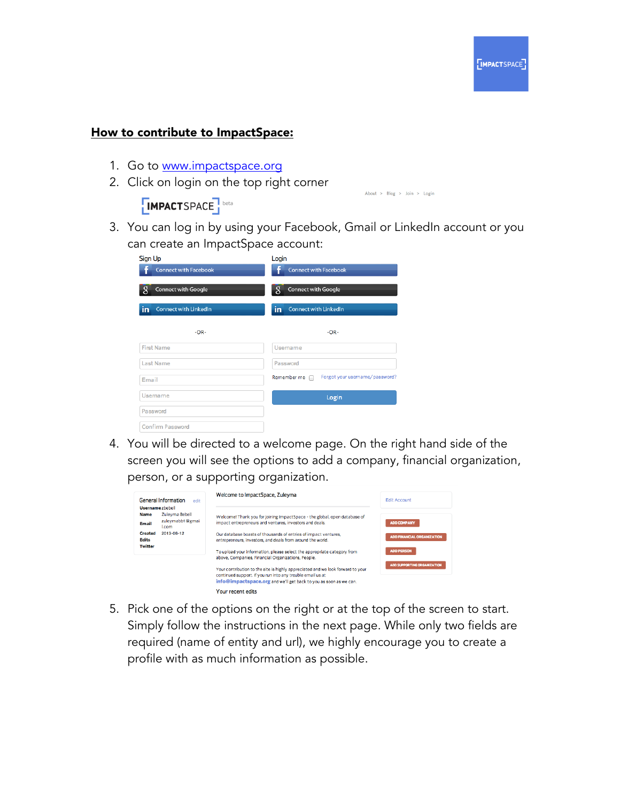

## How to contribute to ImpactSpace:

- 1. Go to www.impactspace.org
- 2. Click on login on the top right corner

**IMPACTSPACE** 

About >  $Blog$  > Join > Login

3. You can log in by using your Facebook, Gmail or LinkedIn account or you can create an ImpactSpace account:

| Sign Up<br><b>Connect with Facebook</b> | Login<br><b>Connect with Facebook</b>         |
|-----------------------------------------|-----------------------------------------------|
| 8<br><b>Connect with Google</b>         | 8<br>Connect with Google                      |
| in<br><b>Connect with LinkedIn</b>      | in<br><b>Connect with LinkedIn</b>            |
| $-OR-$                                  | $-OR-$                                        |
| <b>First Name</b>                       | Username                                      |
| Last Name                               | Password                                      |
| Email                                   | Forgot your username/password?<br>Remember me |
| Username                                | Login                                         |
| Password                                |                                               |
| <b>Confirm Password</b>                 |                                               |

4. You will be directed to a welcome page. On the right hand side of the screen you will see the options to add a company, financial organization, person, or a supporting organization.



5. Pick one of the options on the right or at the top of the screen to start. Simply follow the instructions in the next page. While only two fields are required (name of entity and url), we highly encourage you to create a profile with as much information as possible.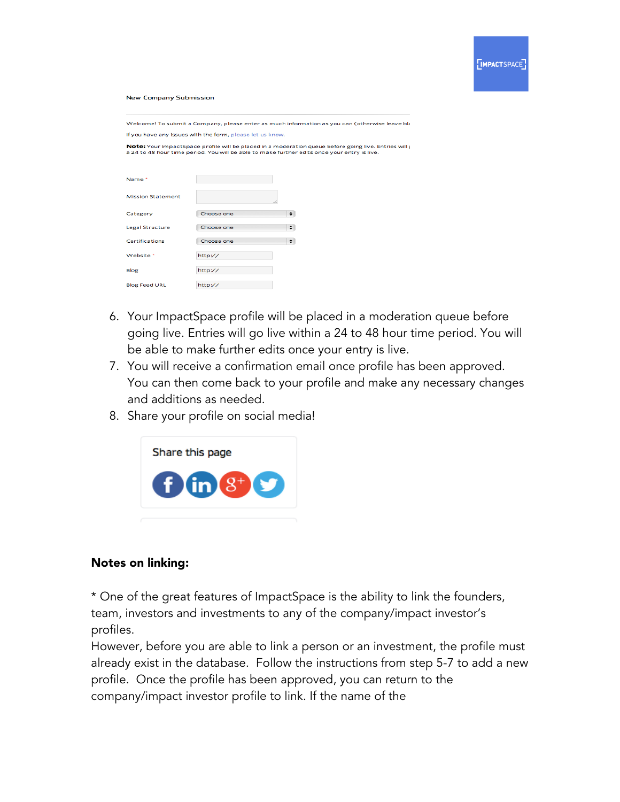## **New Company Submission**

Welcome! To submit a Company, please enter as much information as you can (otherwise leave bla If you have any issues with the form, please let us know

Note: Your ImpactSpace profile will be placed in a moderation queue before going live. Entries will g<br>a 24 to 48 hour time period. You will be able to make further edits once your entry is live.

| Name <sup>*</sup>        |            |   |
|--------------------------|------------|---|
| <b>Mission Statement</b> |            |   |
| Category                 | Choose one | ÷ |
| Legal Structure          | Choose one | ÷ |
| Certifications           | Choose one | ÷ |
| Website *                | http://    |   |
| Blog                     | http://    |   |
| <b>Blog Feed URL</b>     | http://    |   |

- 6. Your ImpactSpace profile will be placed in a moderation queue before going live. Entries will go live within a 24 to 48 hour time period. You will be able to make further edits once your entry is live.
- 7. You will receive a confirmation email once profile has been approved. You can then come back to your profile and make any necessary changes and additions as needed.
- 8. Share your profile on social media!



## Notes on linking:

\* One of the great features of ImpactSpace is the ability to link the founders, team, investors and investments to any of the company/impact investor's profiles.

However, before you are able to link a person or an investment, the profile must already exist in the database. Follow the instructions from step 5-7 to add a new profile. Once the profile has been approved, you can return to the company/impact investor profile to link. If the name of the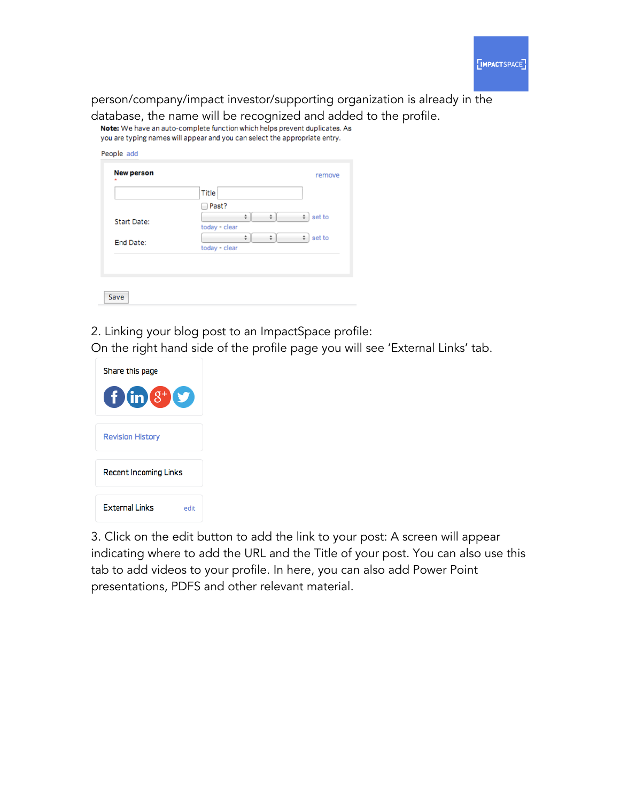

person/company/impact investor/supporting organization is already in the

database, the name will be recognized and added to the profile.<br>Note: We have an auto-complete function which helps prevent duplicates. As

you are typing names will appear and you can select the appropriate entry.

|             | Title                                  |
|-------------|----------------------------------------|
|             | Past?<br>$\sim$                        |
| Start Date: | ÷<br>÷<br>set to<br>÷<br>today - clear |
| End Date:   | ÷<br>set to<br>÷<br>÷                  |
|             | today - clear                          |

2. Linking your blog post to an ImpactSpace profile:

On the right hand side of the profile page you will see 'External Links' tab.



3. Click on the edit button to add the link to your post: A screen will appear indicating where to add the URL and the Title of your post. You can also use this tab to add videos to your profile. In here, you can also add Power Point presentations, PDFS and other relevant material.